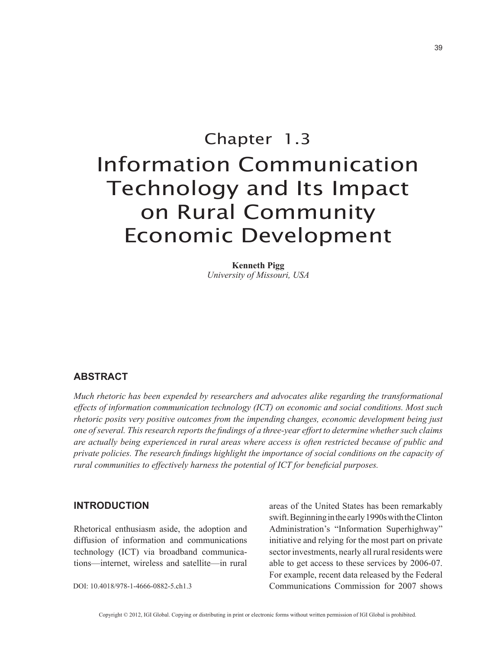# Chapter 1.3 Information Communication Technology and Its Impact on Rural Community Economic Development

**Kenneth Pigg** *University of Missouri, USA*

## **ABSTRACT**

*Much rhetoric has been expended by researchers and advocates alike regarding the transformational effects of information communication technology (ICT) on economic and social conditions. Most such rhetoric posits very positive outcomes from the impending changes, economic development being just one of several. This research reports the findings of a three-year effort to determine whether such claims are actually being experienced in rural areas where access is often restricted because of public and private policies. The research findings highlight the importance of social conditions on the capacity of rural communities to effectively harness the potential of ICT for beneficial purposes.*

## **INTRODUCTION**

Rhetorical enthusiasm aside, the adoption and diffusion of information and communications technology (ICT) via broadband communications—internet, wireless and satellite—in rural

DOI: 10.4018/978-1-4666-0882-5.ch1.3

areas of the United States has been remarkably swift. Beginning in the early 1990s with the Clinton Administration's "Information Superhighway" initiative and relying for the most part on private sector investments, nearly all rural residents were able to get access to these services by 2006-07. For example, recent data released by the Federal Communications Commission for 2007 shows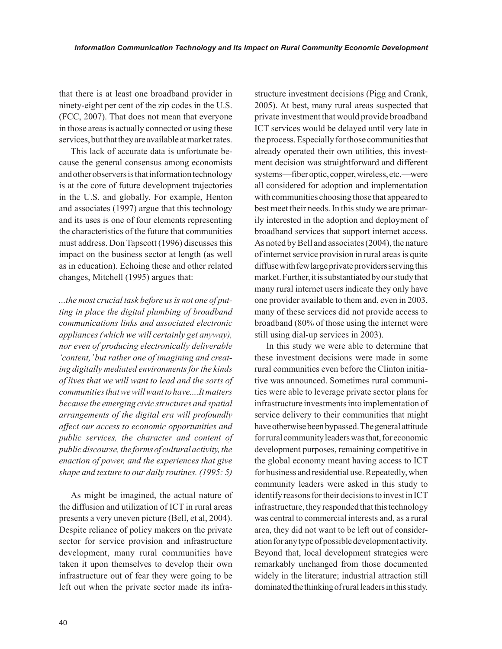that there is at least one broadband provider in ninety-eight per cent of the zip codes in the U.S. (FCC, 2007). That does not mean that everyone in those areas is actually connected or using these services, but that they are available at market rates.

This lack of accurate data is unfortunate because the general consensus among economists and other observers is that information technology is at the core of future development trajectories in the U.S. and globally. For example, Henton and associates (1997) argue that this technology and its uses is one of four elements representing the characteristics of the future that communities must address. Don Tapscott (1996) discusses this impact on the business sector at length (as well as in education). Echoing these and other related changes, Mitchell (1995) argues that:

*...the most crucial task before us is not one of putting in place the digital plumbing of broadband communications links and associated electronic appliances (which we will certainly get anyway), nor even of producing electronically deliverable 'content,' but rather one of imagining and creating digitally mediated environments for the kinds of lives that we will want to lead and the sorts of communities that we will want to have....It matters because the emerging civic structures and spatial arrangements of the digital era will profoundly affect our access to economic opportunities and public services, the character and content of public discourse, the forms of cultural activity, the enaction of power, and the experiences that give shape and texture to our daily routines. (1995: 5)* 

As might be imagined, the actual nature of the diffusion and utilization of ICT in rural areas presents a very uneven picture (Bell, et al, 2004). Despite reliance of policy makers on the private sector for service provision and infrastructure development, many rural communities have taken it upon themselves to develop their own infrastructure out of fear they were going to be left out when the private sector made its infrastructure investment decisions (Pigg and Crank, 2005). At best, many rural areas suspected that private investment that would provide broadband ICT services would be delayed until very late in the process. Especially for those communities that already operated their own utilities, this investment decision was straightforward and different systems—fiber optic, copper, wireless, etc.—were all considered for adoption and implementation with communities choosing those that appeared to best meet their needs. In this study we are primarily interested in the adoption and deployment of broadband services that support internet access. As noted by Bell and associates (2004), the nature of internet service provision in rural areas is quite diffuse with few large private providers serving this market. Further, it is substantiated by our study that many rural internet users indicate they only have one provider available to them and, even in 2003, many of these services did not provide access to broadband (80% of those using the internet were still using dial-up services in 2003).

In this study we were able to determine that these investment decisions were made in some rural communities even before the Clinton initiative was announced. Sometimes rural communities were able to leverage private sector plans for infrastructure investments into implementation of service delivery to their communities that might have otherwise been bypassed. The general attitude for rural community leaders was that, for economic development purposes, remaining competitive in the global economy meant having access to ICT for business and residential use. Repeatedly, when community leaders were asked in this study to identify reasons for their decisions to invest in ICT infrastructure, they responded that this technology was central to commercial interests and, as a rural area, they did not want to be left out of consideration for any type of possible development activity. Beyond that, local development strategies were remarkably unchanged from those documented widely in the literature; industrial attraction still dominated the thinking of rural leaders in this study.